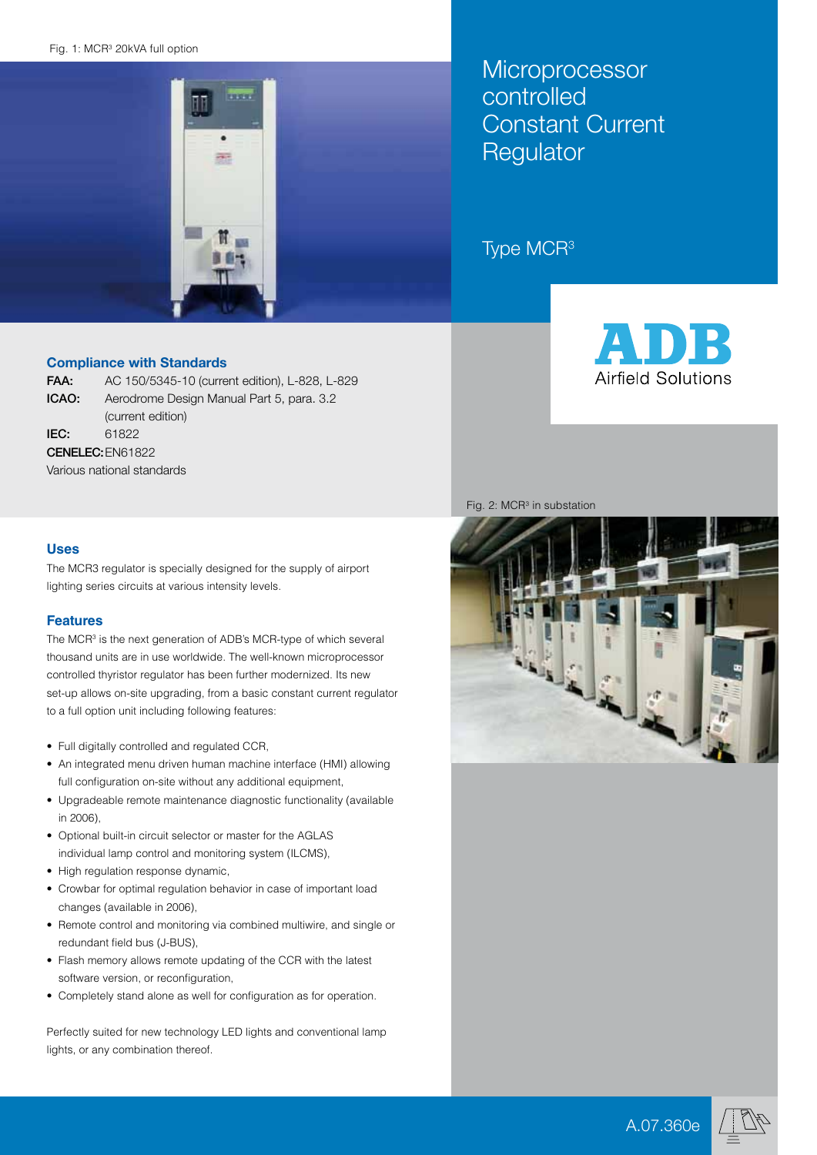#### Fig. 1: MCR<sup>3</sup> 20kVA full option



Compliance with Standards

FAA: AC 150/5345-10 (current edition), L-828, L-829 ICAO: Aerodrome Design Manual Part 5, para. 3.2 (current edition) IEC: 61822 CENELEC:EN61822

Various national standards

### **Uses**

The MCR3 regulator is specially designed for the supply of airport lighting series circuits at various intensity levels.

### **Features**

The MCR<sup>3</sup> is the next generation of ADB's MCR-type of which several thousand units are in use worldwide. The well-known microprocessor controlled thyristor regulator has been further modernized. Its new set-up allows on-site upgrading, from a basic constant current regulator to a full option unit including following features:

- • Full digitally controlled and regulated CCR,
- An integrated menu driven human machine interface (HMI) allowing full configuration on-site without any additional equipment,
- • Upgradeable remote maintenance diagnostic functionality (available in 2006),
- Optional built-in circuit selector or master for the AGLAS individual lamp control and monitoring system (ILCMS),
- High regulation response dynamic,
- Crowbar for optimal regulation behavior in case of important load changes (available in 2006),
- Remote control and monitoring via combined multiwire, and single or redundant field bus (J-BUS),
- Flash memory allows remote updating of the CCR with the latest software version, or reconfiguration,
- • Completely stand alone as well for configuration as for operation.

Perfectly suited for new technology LED lights and conventional lamp lights, or any combination thereof.

**Microprocessor** controlled Constant Current **Regulator** 

# Type MCR3



Fig.  $2$ : MCR<sup>3</sup> in substation







A.07.360e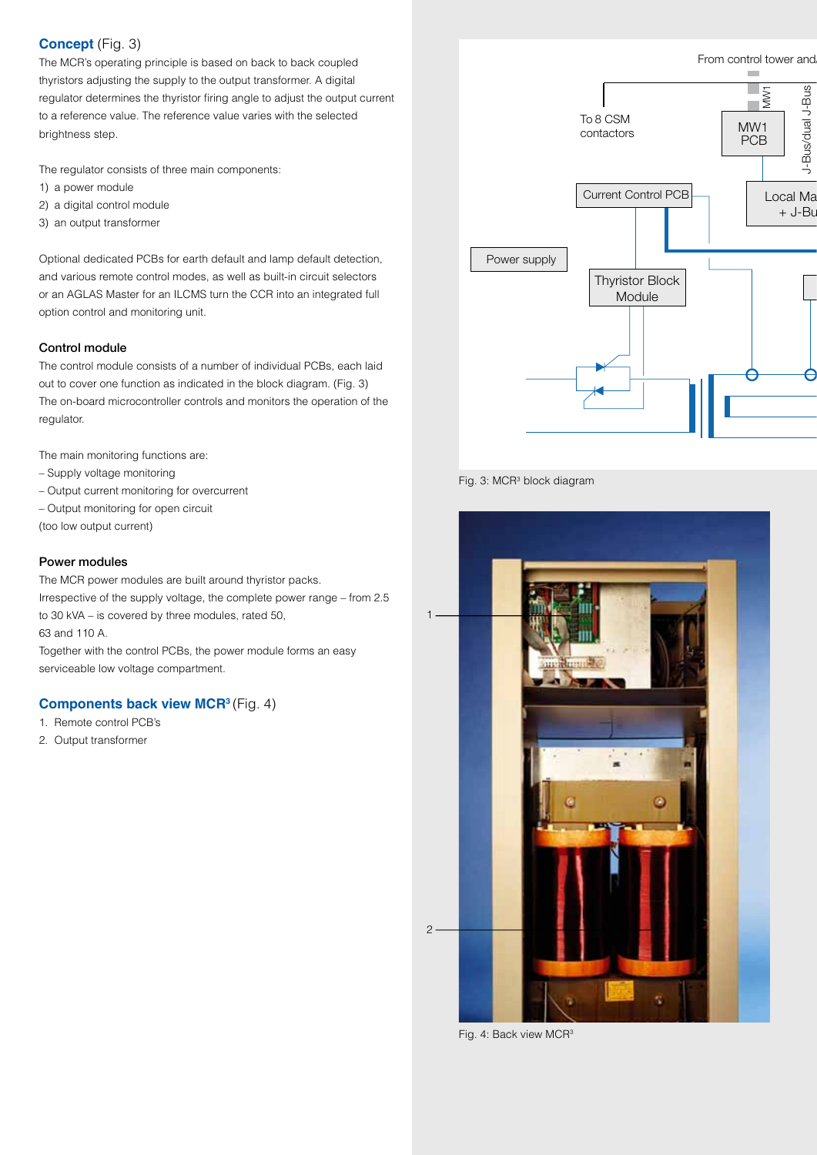# **Concept** (Fig. 3)

The MCR's operating principle is based on back to back coupled thyristors adjusting the supply to the output transformer. A digital regulator determines the thyristor firing angle to adjust the output current to a reference value. The reference value varies with the selected brightness step.

The regulator consists of three main components:

- 1) a power module
- 2) a digital control module
- 3) an output transformer

Optional dedicated PCBs for earth default and lamp default detection, and various remote control modes, as well as built-in circuit selectors or an AGLAS Master for an ILCMS turn the CCR into an integrated full option control and monitoring unit.

### Control module

The control module consists of a number of individual PCBs, each laid out to cover one function as indicated in the block diagram. (Fig. 3) The on-board microcontroller controls and monitors the operation of the regulator.

The main monitoring functions are:

- Supply voltage monitoring
- Output current monitoring for overcurrent
- Output monitoring for open circuit

(too low output current)

### Power modules

The MCR power modules are built around thyristor packs. Irrespective of the supply voltage, the complete power range – from 2.5 to 30 kVA – is covered by three modules, rated 50, 63 and 110 A. Together with the control PCBs, the power module forms an easy serviceable low voltage compartment.

# **Components back view MCR3** (Fig. 4)

- 1. Remote control PCB's
- 2. Output transformer



Fig. 3: MCR<sup>3</sup> block diagram



Fig. 4: Back view MCR<sup>3</sup>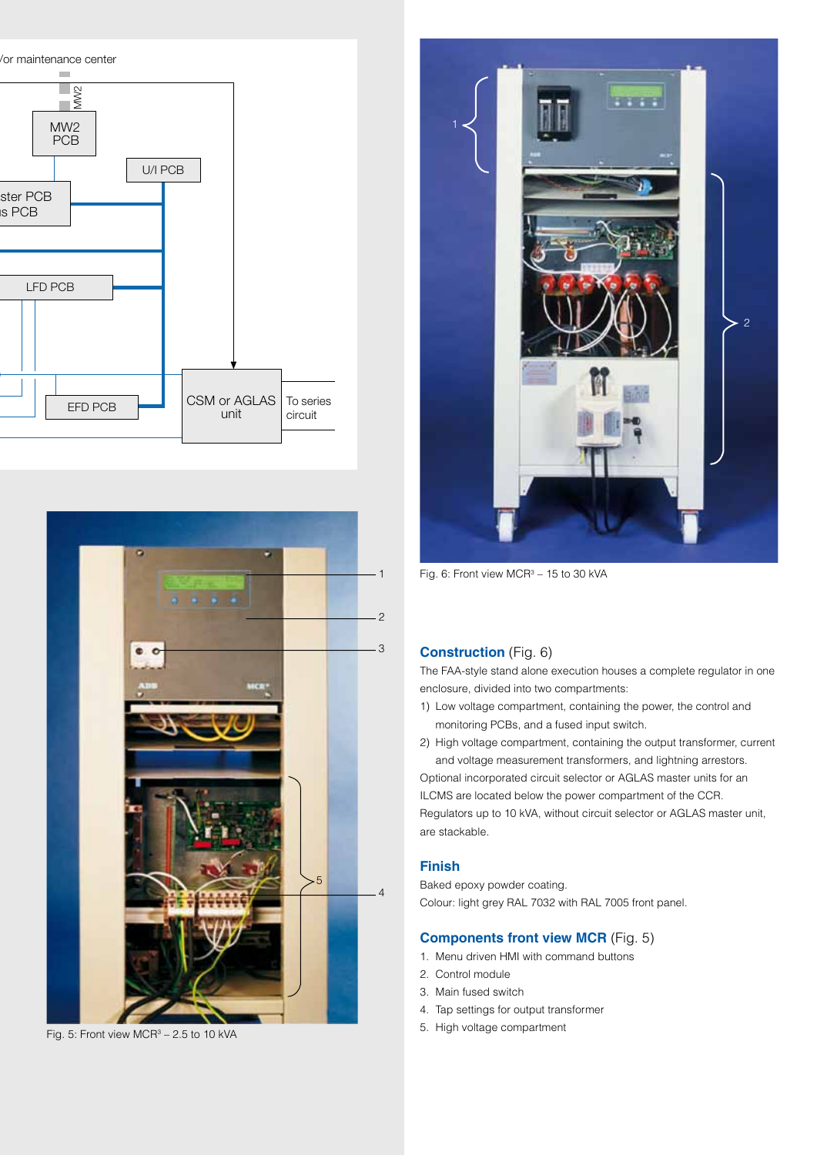



Fig. 5: Front view MCR<sup>3</sup> - 2.5 to 10 kVA



Fig. 6: Front view  $MCR^3 - 15$  to 30 kVA

# **Construction** (Fig. 6)

The FAA-style stand alone execution houses a complete regulator in one enclosure, divided into two compartments:

1) Low voltage compartment, containing the power, the control and monitoring PCBs, and a fused input switch.

2) High voltage compartment, containing the output transformer, current and voltage measurement transformers, and lightning arrestors. Optional incorporated circuit selector or AGLAS master units for an ILCMS are located below the power compartment of the CCR. Regulators up to 10 kVA, without circuit selector or AGLAS master unit, are stackable.

### **Finish**

Baked epoxy powder coating. Colour: light grey RAL 7032 with RAL 7005 front panel.

# **Components front view MCR** (Fig. 5)

- 1. Menu driven HMI with command buttons
- 2. Control module
- 3. Main fused switch
- 4. Tap settings for output transformer
- 5. High voltage compartment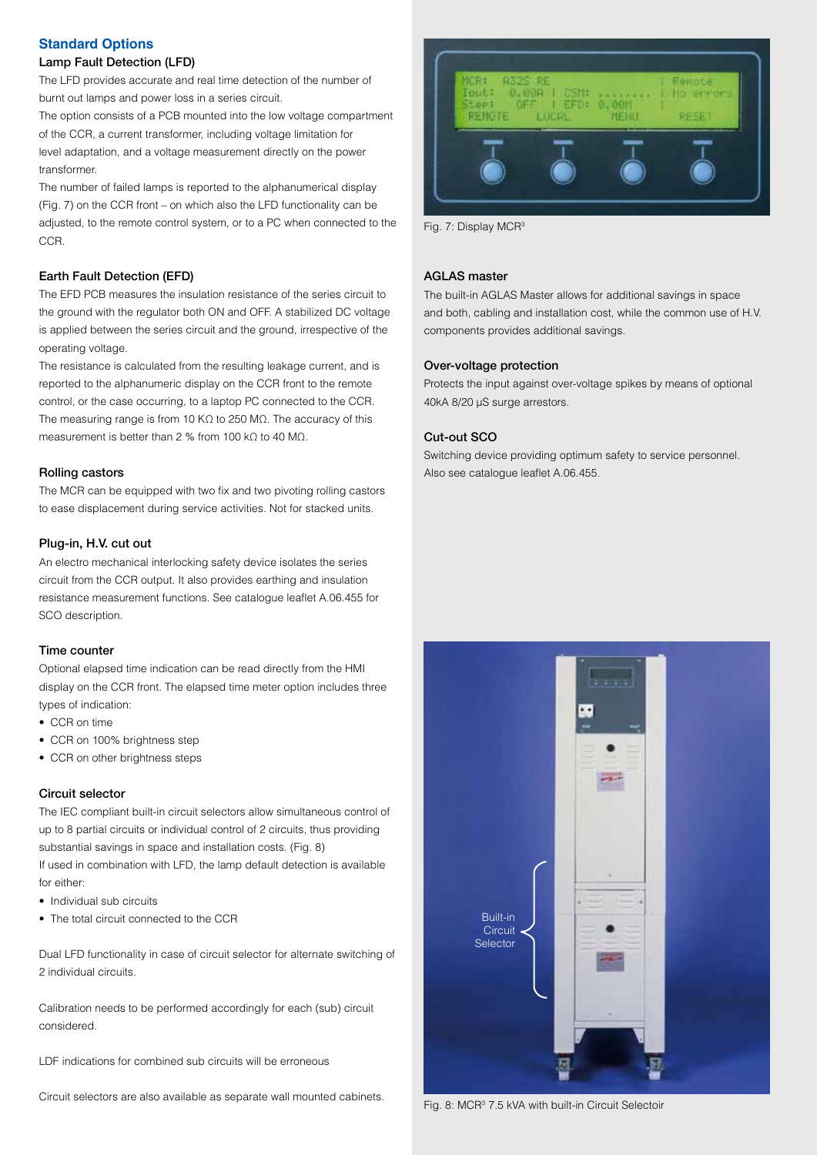## **Standard Options**

### Lamp Fault Detection (LFD)

The LFD provides accurate and real time detection of the number of burnt out lamps and power loss in a series circuit.

The option consists of a PCB mounted into the low voltage compartment of the CCR, a current transformer, including voltage limitation for level adaptation, and a voltage measurement directly on the power transformer.

The number of failed lamps is reported to the alphanumerical display (Fig. 7) on the CCR front – on which also the LFD functionality can be adjusted, to the remote control system, or to a PC when connected to the CCR.

### Earth Fault Detection (EFD)

The EFD PCB measures the insulation resistance of the series circuit to the ground with the regulator both ON and OFF. A stabilized DC voltage is applied between the series circuit and the ground, irrespective of the operating voltage.

The resistance is calculated from the resulting leakage current, and is reported to the alphanumeric display on the CCR front to the remote control, or the case occurring, to a laptop PC connected to the CCR. The measuring range is from 10 KΩ to 250 MΩ. The accuracy of this measurement is better than 2 % from 100 kΩ to 40 MΩ.

#### Rolling castors

The MCR can be equipped with two fix and two pivoting rolling castors to ease displacement during service activities. Not for stacked units.

### Plug-in, H.V. cut out

An electro mechanical interlocking safety device isolates the series circuit from the CCR output. It also provides earthing and insulation resistance measurement functions. See catalogue leaflet A.06.455 for SCO description.

#### Time counter

Optional elapsed time indication can be read directly from the HMI display on the CCR front. The elapsed time meter option includes three types of indication:

- CCR on time
- CCR on 100% brightness step
- CCR on other brightness steps

#### Circuit selector

The IEC compliant built-in circuit selectors allow simultaneous control of up to 8 partial circuits or individual control of 2 circuits, thus providing substantial savings in space and installation costs. (Fig. 8) If used in combination with LFD, the lamp default detection is available for either:

- • Individual sub circuits
- The total circuit connected to the CCR

Dual LFD functionality in case of circuit selector for alternate switching of 2 individual circuits.

Calibration needs to be performed accordingly for each (sub) circuit considered.

LDF indications for combined sub circuits will be erroneous

Circuit selectors are also available as separate wall mounted cabinets.



Fig. 7: Display MCR<sup>3</sup>

### AGLAS master

The built-in AGLAS Master allows for additional savings in space and both, cabling and installation cost, while the common use of H.V. components provides additional savings.

### Over-voltage protection

Protects the input against over-voltage spikes by means of optional 40kA 8/20 µS surge arrestors.

### Cut-out SCO

Switching device providing optimum safety to service personnel. Also see catalogue leaflet A.06.455.



Fig. 8: MCR<sup>3</sup> 7.5 kVA with built-in Circuit Selectoir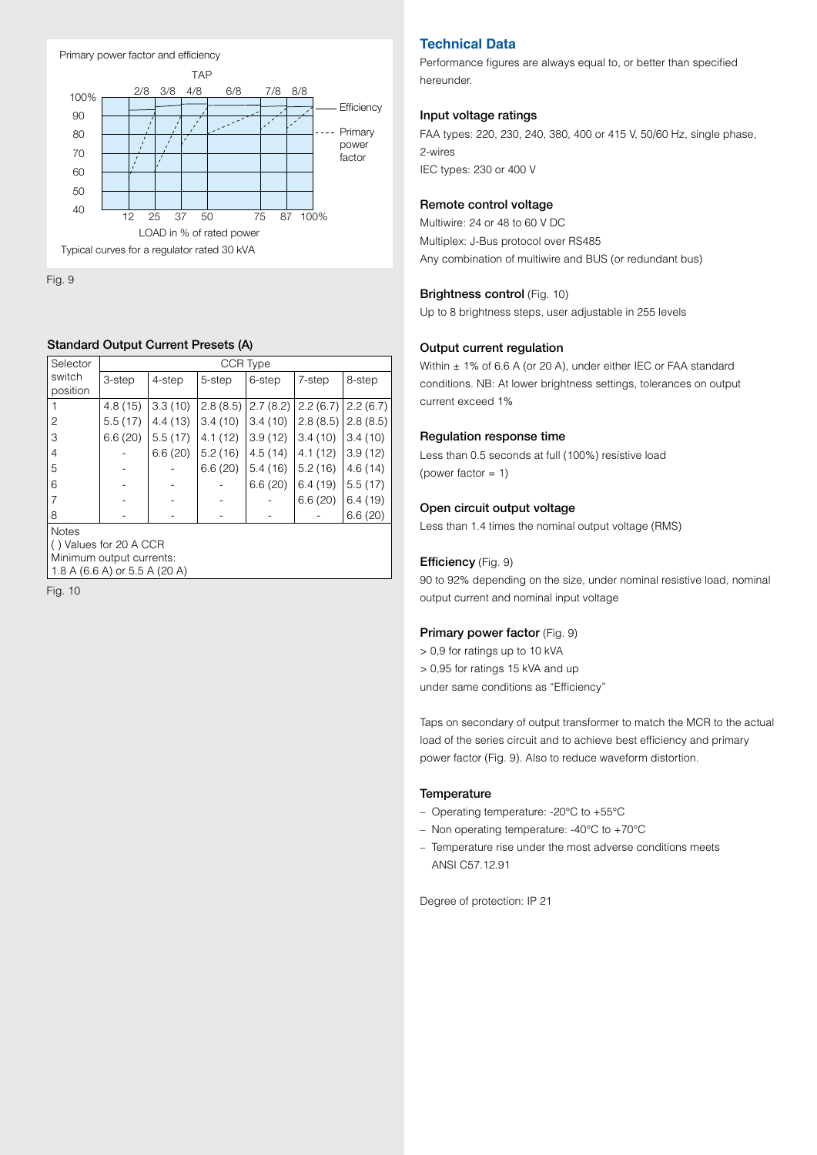

Fig. 9

### Standard Output Current Presets (A)

| Selector                                                                                     | CCR Type |         |          |          |          |          |  |
|----------------------------------------------------------------------------------------------|----------|---------|----------|----------|----------|----------|--|
| switch<br>position                                                                           | 3-step   | 4-step  | 5-step   | 6-step   | 7-step   | 8-step   |  |
|                                                                                              | 4.8(15)  | 3.3(10) | 2.8(8.5) | 2.7(8.2) | 2.2(6.7) | 2.2(6.7) |  |
| 2                                                                                            | 5.5(17)  | 4.4(13) | 3.4(10)  | 3.4(10)  | 2.8(8.5) | 2.8(8.5) |  |
| 3                                                                                            | 6.6(20)  | 5.5(17) | 4.1(12)  | 3.9(12)  | 3.4(10)  | 3.4(10)  |  |
| 4                                                                                            |          | 6.6(20) | 5.2(16)  | 4.5(14)  | 4.1(12)  | 3.9(12)  |  |
| 5                                                                                            |          |         | 6.6(20)  | 5.4(16)  | 5.2(16)  | 4.6(14)  |  |
| 6                                                                                            |          |         |          | 6.6(20)  | 6.4(19)  | 5.5(17)  |  |
| 7                                                                                            |          |         |          |          | 6.6(20)  | 6.4(19)  |  |
| 8                                                                                            |          |         |          |          |          | 6.6(20)  |  |
| Notes<br>() Values for 20 A CCR<br>Minimum output currents:<br>1.8 A (6.6 A) or 5.5 A (20 A) |          |         |          |          |          |          |  |

Fig. 10

# **Technical Data**

Performance figures are always equal to, or better than specified hereunder.

### Input voltage ratings

FAA types: 220, 230, 240, 380, 400 or 415 V, 50/60 Hz, single phase, 2-wires IEC types: 230 or 400 V

### Remote control voltage

Multiwire: 24 or 48 to 60 V DC Multiplex: J-Bus protocol over RS485 Any combination of multiwire and BUS (or redundant bus)

### Brightness control (Fig. 10)

Up to 8 brightness steps, user adjustable in 255 levels

### Output current regulation

Within ± 1% of 6.6 A (or 20 A), under either IEC or FAA standard conditions. NB: At lower brightness settings, tolerances on output current exceed 1%

### Regulation response time

Less than 0.5 seconds at full (100%) resistive load (power factor = 1)

### Open circuit output voltage

Less than 1.4 times the nominal output voltage (RMS)

### Efficiency (Fig. 9)

90 to 92% depending on the size, under nominal resistive load, nominal output current and nominal input voltage

### Primary power factor (Fig. 9)

- > 0,9 for ratings up to 10 kVA > 0,95 for ratings 15 kVA and up
- under same conditions as "Efficiency"

Taps on secondary of output transformer to match the MCR to the actual load of the series circuit and to achieve best efficiency and primary power factor (Fig. 9). Also to reduce waveform distortion.

#### **Temperature**

- – Operating temperature: -20°C to +55°C
- Non operating temperature: -40 $^{\circ}$ C to +70 $^{\circ}$ C
- Temperature rise under the most adverse conditions meets ANSI C57.12.91

Degree of protection: IP 21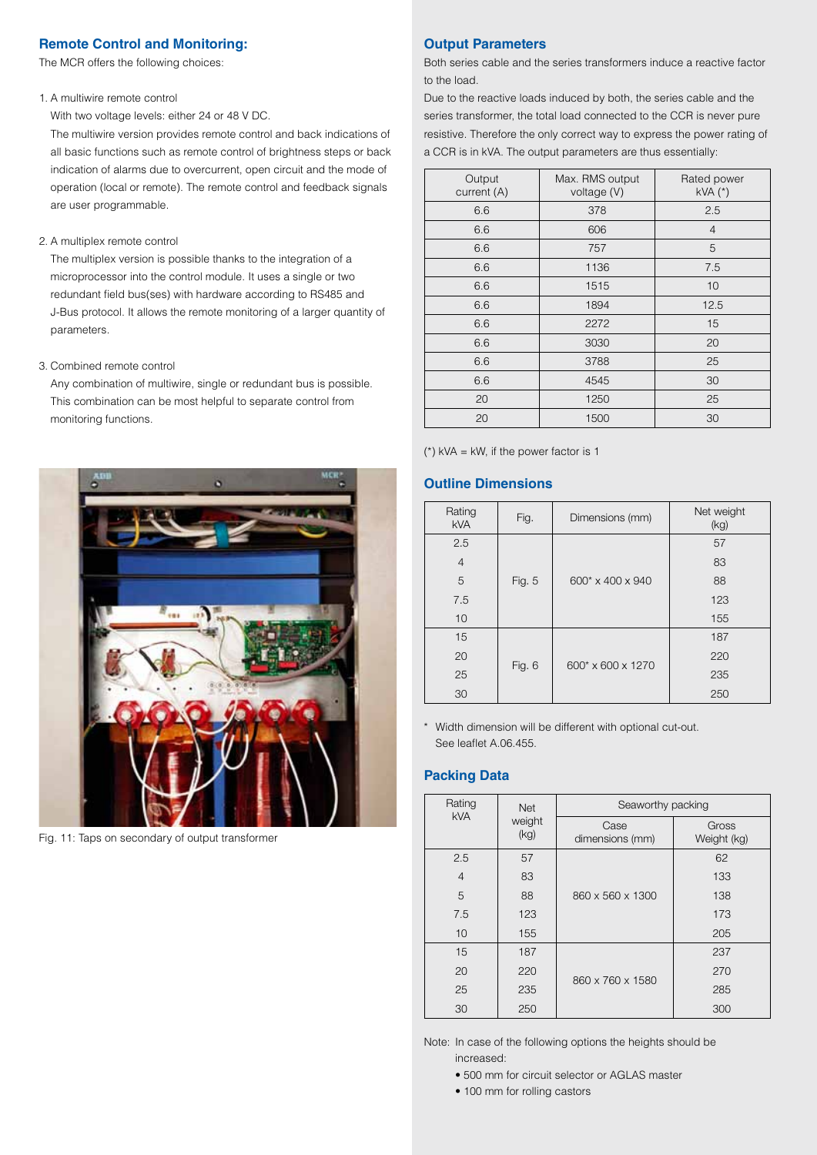## **Remote Control and Monitoring:**

The MCR offers the following choices:

### 1. A multiwire remote control

With two voltage levels: either 24 or 48 V DC.

The multiwire version provides remote control and back indications of all basic functions such as remote control of brightness steps or back indication of alarms due to overcurrent, open circuit and the mode of operation (local or remote). The remote control and feedback signals are user programmable.

#### 2. A multiplex remote control

The multiplex version is possible thanks to the integration of a microprocessor into the control module. It uses a single or two redundant field bus(ses) with hardware according to RS485 and J-Bus protocol. It allows the remote monitoring of a larger quantity of parameters.

#### 3. Combined remote control

Any combination of multiwire, single or redundant bus is possible. This combination can be most helpful to separate control from monitoring functions.



Fig. 11: Taps on secondary of output transformer

# **Output Parameters**

Both series cable and the series transformers induce a reactive factor to the load.

Due to the reactive loads induced by both, the series cable and the series transformer, the total load connected to the CCR is never pure resistive. Therefore the only correct way to express the power rating of a CCR is in kVA. The output parameters are thus essentially:

| Output<br>current (A) | Max. RMS output<br>voltage (V) | Rated power<br>$kVA$ $(*)$ |
|-----------------------|--------------------------------|----------------------------|
| 6.6                   | 378                            | 2.5                        |
| 6.6                   | 606                            | $\overline{4}$             |
| 6.6                   | 757                            | 5                          |
| 6.6                   | 1136                           | 7.5                        |
| 6.6                   | 1515                           | 10                         |
| 6.6                   | 1894                           | 12.5                       |
| 6.6                   | 2272                           | 15                         |
| 6.6                   | 3030                           | 20                         |
| 6.6                   | 3788                           | 25                         |
| 6.6                   | 4545                           | 30                         |
| 20                    | 1250                           | 25                         |
| 20                    | 1500                           | 30                         |

( $*$ ) kVA = kW, if the power factor is 1

### **Outline Dimensions**

| Rating<br><b>kVA</b> | Fig.   | Dimensions (mm)   | Net weight<br>(kg) |
|----------------------|--------|-------------------|--------------------|
| 2.5                  |        |                   | 57                 |
| $\overline{4}$       |        |                   | 83                 |
| 5                    | Fig. 5 | 600* x 400 x 940  | 88                 |
| 7.5                  |        |                   | 123                |
| 10                   |        |                   | 155                |
| 15                   |        | 600* x 600 x 1270 | 187                |
| 20                   |        |                   | 220                |
| 25                   | Fig. 6 |                   | 235                |
| 30                   |        |                   | 250                |

\* Width dimension will be different with optional cut-out. See leaflet A.06.455.

### **Packing Data**

| Rating<br><b>kVA</b> | <b>Net</b>     | Seaworthy packing       |                      |  |
|----------------------|----------------|-------------------------|----------------------|--|
|                      | weight<br>(kg) | Case<br>dimensions (mm) | Gross<br>Weight (kg) |  |
| 2.5                  | 57             |                         | 62                   |  |
| $\overline{4}$       | 83             |                         | 133                  |  |
| 5                    | 88             | 860 x 560 x 1300        | 138                  |  |
| 7.5                  | 123            |                         | 173                  |  |
| 10                   | 155            |                         | 205                  |  |
| 15                   | 187            |                         | 237                  |  |
| 20                   | 220            | 860 x 760 x 1580        | 270                  |  |
| 25                   | 235            |                         | 285                  |  |
| 30                   | 250            |                         | 300                  |  |

Note: In case of the following options the heights should be increased:

- 500 mm for circuit selector or AGLAS master
- 100 mm for rolling castors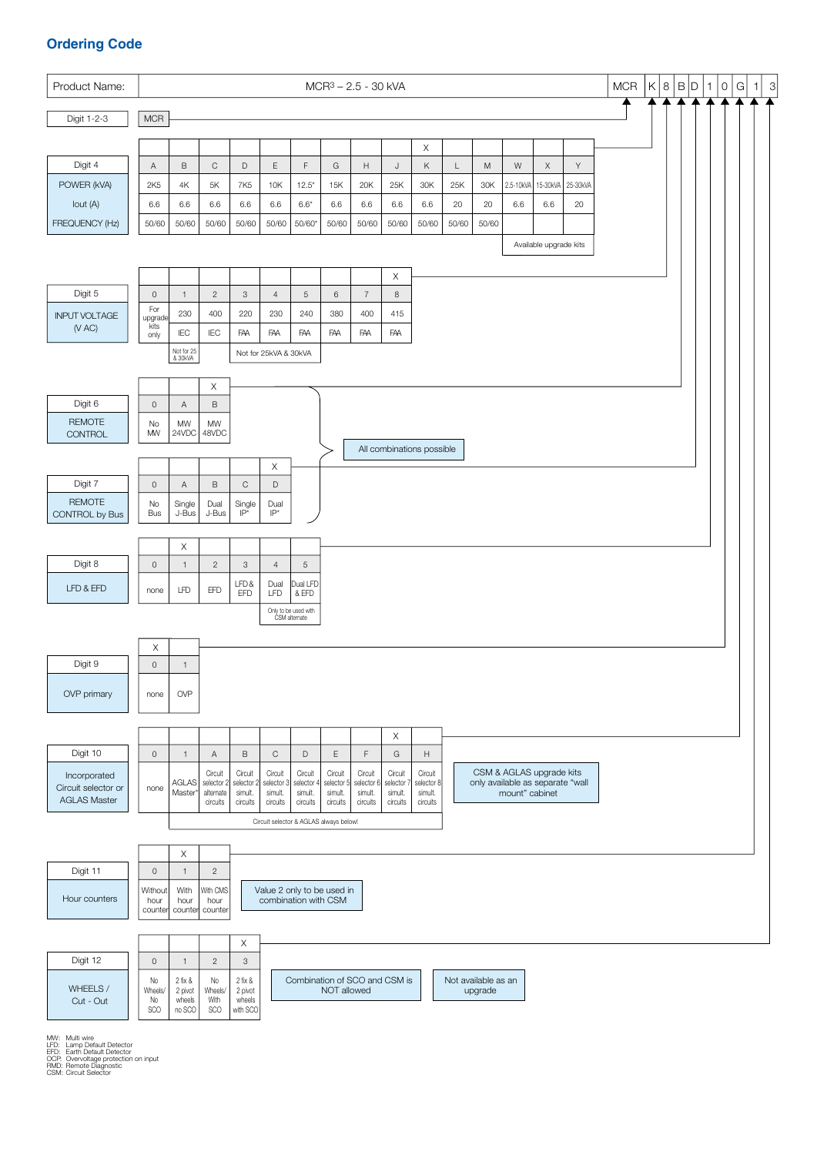# **Ordering Code**



MW: Multi wire LFD: Lamp Default Detector EFD: Earth Default Detector OCP: Overvoltage protection on input RMD: Remote Diagnostic CSM: Circuit Selector